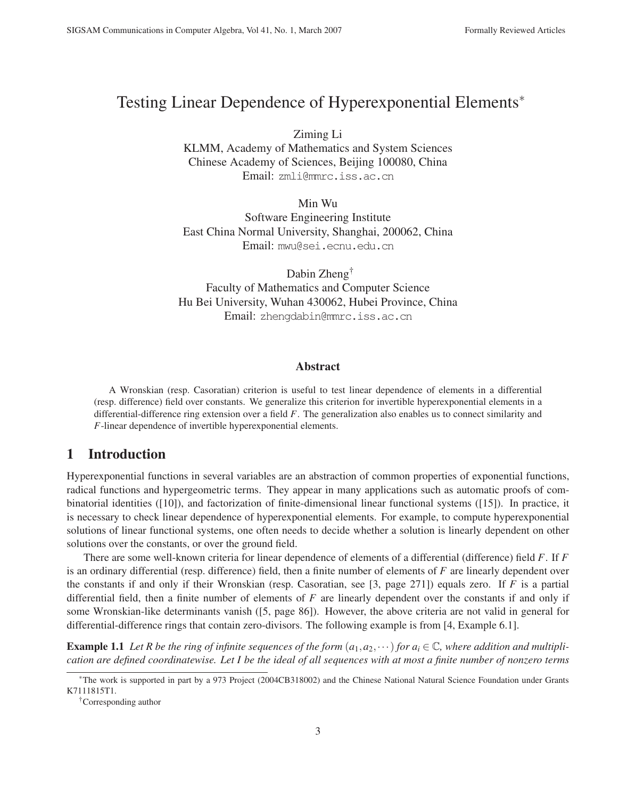# Testing Linear Dependence of Hyperexponential Elements<sup>∗</sup>

Ziming Li

KLMM, Academy of Mathematics and System Sciences Chinese Academy of Sciences, Beijing 100080, China Email: zmli@mmrc.iss.ac.cn

Min Wu Software Engineering Institute East China Normal University, Shanghai, 200062, China Email: mwu@sei.ecnu.edu.cn

Dabin Zheng† Faculty of Mathematics and Computer Science Hu Bei University, Wuhan 430062, Hubei Province, China Email: zhengdabin@mmrc.iss.ac.cn

#### Abstract

A Wronskian (resp. Casoratian) criterion is useful to test linear dependence of elements in a differential (resp. difference) field over constants. We generalize this criterion for invertible hyperexponential elements in a differential-difference ring extension over a field *F*. The generalization also enables us to connect similarity and *F*-linear dependence of invertible hyperexponential elements.

# 1 Introduction

Hyperexponential functions in several variables are an abstraction of common properties of exponential functions, radical functions and hypergeometric terms. They appear in many applications such as automatic proofs of combinatorial identities ([10]), and factorization of finite-dimensional linear functional systems ([15]). In practice, it is necessary to check linear dependence of hyperexponential elements. For example, to compute hyperexponential solutions of linear functional systems, one often needs to decide whether a solution is linearly dependent on other solutions over the constants, or over the ground field.

There are some well-known criteria for linear dependence of elements of a differential (difference) field *F*. If *F* is an ordinary differential (resp. difference) field, then a finite number of elements of *F* are linearly dependent over the constants if and only if their Wronskian (resp. Casoratian, see [3, page 271]) equals zero. If *F* is a partial differential field, then a finite number of elements of *F* are linearly dependent over the constants if and only if some Wronskian-like determinants vanish ([5, page 86]). However, the above criteria are not valid in general for differential-difference rings that contain zero-divisors. The following example is from [4, Example 6.1].

**Example 1.1** Let R be the ring of infinite sequences of the form  $(a_1, a_2, \dots)$  for  $a_i \in \mathbb{C}$ , where addition and multipli*cation are defined coordinatewise. Let I be the ideal of all sequences with at most a finite number of nonzero terms*

<sup>∗</sup>The work is supported in part by a 973 Project (2004CB318002) and the Chinese National Natural Science Foundation under Grants K7111815T1.

<sup>†</sup>Corresponding author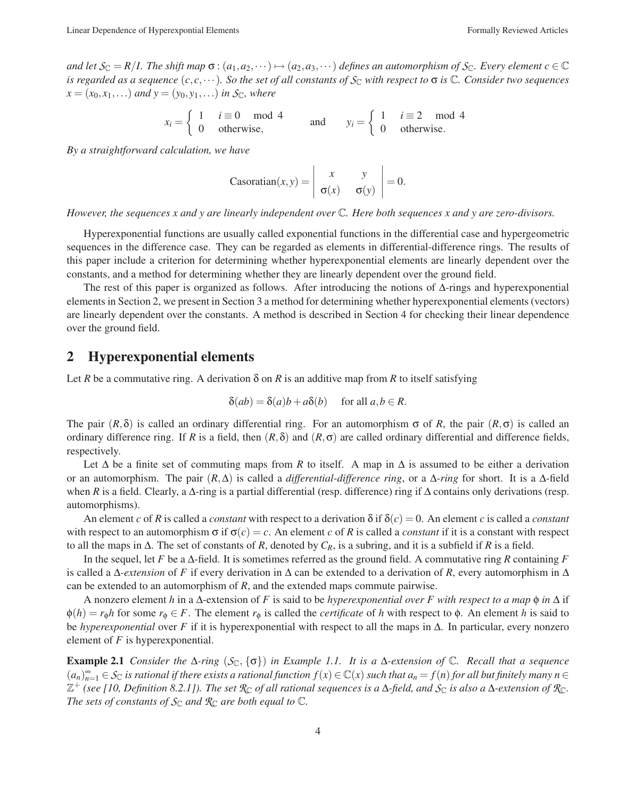*and let*  $S_{\mathbb{C}} = R/I$ . The shift map  $\sigma : (a_1, a_2, \dots) \mapsto (a_2, a_3, \dots)$  defines an automorphism of  $S_{\mathbb{C}}$ . Every element  $c \in \mathbb{C}$ *is regarded as a sequence*  $(c, c, \dots)$ *. So the set of all constants of*  $S_c$  *with respect to*  $\sigma$  *is*  $\mathbb C$ *. Consider two sequences*  $x = (x_0, x_1, \ldots)$  *and*  $y = (y_0, y_1, \ldots)$  *in S*<sub>C</sub>*, where* 

$$
x_i = \begin{cases} 1 & i \equiv 0 \mod 4 \\ 0 & \text{otherwise,} \end{cases} \qquad \text{and} \qquad y_i = \begin{cases} 1 & i \equiv 2 \mod 4 \\ 0 & \text{otherwise.} \end{cases}
$$

*By a straightforward calculation, we have*

Casoratian
$$
(x, y) = \begin{vmatrix} x & y \\ \sigma(x) & \sigma(y) \end{vmatrix} = 0.
$$

*However, the sequences x and y are linearly independent over* C*. Here both sequences x and y are zero-divisors.*

Hyperexponential functions are usually called exponential functions in the differential case and hypergeometric sequences in the difference case. They can be regarded as elements in differential-difference rings. The results of this paper include a criterion for determining whether hyperexponential elements are linearly dependent over the constants, and a method for determining whether they are linearly dependent over the ground field.

The rest of this paper is organized as follows. After introducing the notions of ∆-rings and hyperexponential elements in Section 2, we present in Section 3 a method for determining whether hyperexponential elements (vectors) are linearly dependent over the constants. A method is described in Section 4 for checking their linear dependence over the ground field.

## 2 Hyperexponential elements

Let *R* be a commutative ring. A derivation  $\delta$  on *R* is an additive map from *R* to itself satisfying

$$
\delta(ab) = \delta(a)b + a\delta(b) \quad \text{ for all } a, b \in R.
$$

The pair  $(R, \delta)$  is called an ordinary differential ring. For an automorphism  $\sigma$  of R, the pair  $(R, \sigma)$  is called an ordinary difference ring. If *R* is a field, then  $(R, \delta)$  and  $(R, \sigma)$  are called ordinary differential and difference fields, respectively.

Let ∆ be a finite set of commuting maps from *R* to itself. A map in ∆ is assumed to be either a derivation or an automorphism. The pair (*R*,∆) is called a *differential-difference ring*, or a ∆*-ring* for short. It is a ∆-field when *R* is a field. Clearly, a Δ-ring is a partial differential (resp. difference) ring if Δ contains only derivations (resp. automorphisms).

An element *c* of *R* is called a *constant* with respect to a derivation  $\delta$  if  $\delta(c) = 0$ . An element *c* is called a *constant* with respect to an automorphism  $\sigma$  if  $\sigma(c) = c$ . An element *c* of *R* is called a *constant* if it is a constant with respect to all the maps in ∆. The set of constants of *R*, denoted by *CR*, is a subring, and it is a subfield if *R* is a field.

In the sequel, let *F* be a ∆-field. It is sometimes referred as the ground field. A commutative ring *R* containing *F* is called a ∆*-extension* of *F* if every derivation in ∆ can be extended to a derivation of *R*, every automorphism in ∆ can be extended to an automorphism of *R*, and the extended maps commute pairwise.

A nonzero element *h* in a ∆-extension of *F* is said to be *hyperexponential over F with respect to a map* φ *in* ∆ if  $\phi(h) = r_0 h$  for some  $r_0 \in F$ . The element  $r_0$  is called the *certificate* of *h* with respect to  $\phi$ . An element *h* is said to be *hyperexponential* over *F* if it is hyperexponential with respect to all the maps in ∆. In particular, every nonzero element of *F* is hyperexponential.

**Example 2.1** *Consider the*  $\Delta$ -ring ( $S_{\mathbb{C}}$ ,  $\{\sigma\}$ ) *in Example 1.1.* It is a  $\Delta$ -extension of  $\mathbb{C}$ *. Recall that a sequence*  $(a_n)_{n=1}^{\infty} \in S_{\mathbb{C}}$  *is rational if there exists a rational function*  $f(x) \in \mathbb{C}(x)$  *such that*  $a_n = f(n)$  *for all but finitely many*  $n \in \mathbb{C}$  $\mathbb{Z}^+$  *(see [10, Definition 8.2.1]). The set*  $\mathcal{R}_\mathbb{C}$  *of all rational sequences is a*  $\Delta$ -*field, and*  $\mathcal{S}_\mathbb{C}$  *is also a*  $\Delta$ -*extension of*  $\mathcal{R}_\mathbb{C}$ *. The sets of constants of*  $S_{\mathbb{C}}$  *and*  $\mathcal{R}_{\mathbb{C}}$  *are both equal to*  $\mathbb{C}$ *.*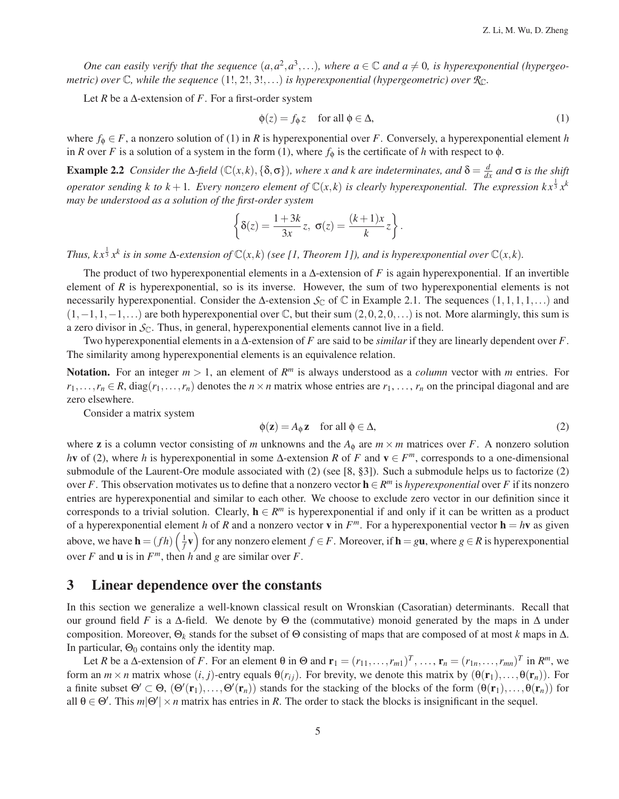*One can easily verify that the sequence*  $(a, a^2, a^3, \ldots)$ , where  $a \in \mathbb{C}$  and  $a \neq 0$ , is hyperexponential (hypergeo*metric)* over  $\mathbb{C}$ , while the sequence  $(1!, 2!, 3!, ...)$  *is hyperexponential (hypergeometric)* over  $\mathbb{R}_{\mathbb{C}}$ .

Let *R* be a  $\triangle$ -extension of *F*. For a first-order system

$$
\phi(z) = f_{\phi} z \quad \text{ for all } \phi \in \Delta,
$$
 (1)

where  $f_{\phi} \in F$ , a nonzero solution of (1) in *R* is hyperexponential over *F*. Conversely, a hyperexponential element *h* in *R* over *F* is a solution of a system in the form (1), where  $f_{\phi}$  is the certificate of *h* with respect to  $\phi$ .

**Example 2.2** *Consider the*  $\Delta$ -field ( $\mathbb{C}(x,k)$ ,  $\{\delta,\sigma\}$ ), where x and k are indeterminates, and  $\delta = \frac{d}{dx}$  and  $\sigma$  is the shift *operator sending k to k* + 1. Every nonzero element of  $\mathbb{C}(x,k)$  is clearly hyperexponential. The expression  $kx^{\frac{1}{3}}x^k$ *may be understood as a solution of the first-order system*

$$
\left\{\delta(z) = \frac{1+3k}{3x}z, \ \sigma(z) = \frac{(k+1)x}{k}z\right\}.
$$

*Thus, k* $x^{\frac{1}{3}}x^k$  *is in some* ∆-extension of  $\mathbb{C}(x,k)$  (see [1, Theorem 1]), and is hyperexponential over  $\mathbb{C}(x,k)$ .

The product of two hyperexponential elements in a ∆-extension of *F* is again hyperexponential. If an invertible element of *R* is hyperexponential, so is its inverse. However, the sum of two hyperexponential elements is not necessarily hyperexponential. Consider the  $\Delta$ -extension  $\mathcal{S}_{\mathbb{C}}$  of  $\mathbb{C}$  in Example 2.1. The sequences  $(1,1,1,1,\ldots)$  and  $(1,-1,1,-1,...)$  are both hyperexponential over  $\mathbb C$ , but their sum  $(2,0,2,0,...)$  is not. More alarmingly, this sum is a zero divisor in  $\mathcal{S}_{\mathbb{C}}$ . Thus, in general, hyperexponential elements cannot live in a field.

Two hyperexponential elements in a ∆-extension of *F* are said to be *similar* if they are linearly dependent over *F*. The similarity among hyperexponential elements is an equivalence relation.

Notation. For an integer  $m > 1$ , an element of  $R^m$  is always understood as a *column* vector with *m* entries. For  $r_1, \ldots, r_n \in R$ , diag( $r_1, \ldots, r_n$ ) denotes the  $n \times n$  matrix whose entries are  $r_1, \ldots, r_n$  on the principal diagonal and are zero elsewhere.

Consider a matrix system

$$
\phi(\mathbf{z}) = A_{\phi} \mathbf{z} \quad \text{for all } \phi \in \Delta,
$$
\n(2)

where **z** is a column vector consisting of *m* unknowns and the  $A_{\phi}$  are  $m \times m$  matrices over *F*. A nonzero solution *h***v** of (2), where *h* is hyperexponential in some ∆-extension *R* of *F* and **v** ∈ *F<sup>m</sup>*, corresponds to a one-dimensional submodule of the Laurent-Ore module associated with (2) (see [8, §3]). Such a submodule helps us to factorize (2) over *F*. This observation motivates us to define that a nonzero vector  $\mathbf{h} \in \mathbb{R}^m$  is *hyperexponential* over *F* if its nonzero entries are hyperexponential and similar to each other. We choose to exclude zero vector in our definition since it corresponds to a trivial solution. Clearly,  $h \in \mathbb{R}^m$  is hyperexponential if and only if it can be written as a product of a hyperexponential element *h* of *R* and a nonzero vector **v** in  $F^m$ . For a hyperexponential vector  $h = hv$  as given above, we have  $\mathbf{h} = (fh)\left(\frac{1}{f}\mathbf{v}\right)$  for any nonzero element  $f \in F$ . Moreover, if  $\mathbf{h} = g\mathbf{u}$ , where  $g \in R$  is hyperexponential over *F* and **u** is in  $F^m$ , then *h* and *g* are similar over *F*.

### 3 Linear dependence over the constants

In this section we generalize a well-known classical result on Wronskian (Casoratian) determinants. Recall that our ground field *F* is a  $\Delta$ -field. We denote by  $\Theta$  the (commutative) monoid generated by the maps in  $\Delta$  under composition. Moreover, Θ*<sup>k</sup>* stands for the subset of Θ consisting of maps that are composed of at most *k* maps in ∆. In particular,  $\Theta_0$  contains only the identity map.

Let *R* be a  $\Delta$ -extension of *F*. For an element  $\theta$  in  $\Theta$  and  $\mathbf{r}_1 = (r_{11}, \ldots, r_{m1})^T, \ldots, \mathbf{r}_n = (r_{1n}, \ldots, r_{mn})^T$  in  $R^m$ , we form an  $m \times n$  matrix whose  $(i, j)$ -entry equals  $\theta(r_{ij})$ . For brevity, we denote this matrix by  $(\theta(\mathbf{r}_1), \dots, \theta(\mathbf{r}_n))$ . For a finite subset  $\Theta' \subset \Theta$ ,  $(\Theta'(\mathbf{r}_1),...,\Theta'(\mathbf{r}_n))$  stands for the stacking of the blocks of the form  $(\theta(\mathbf{r}_1),...,\theta(\mathbf{r}_n))$  for all  $\theta \in \Theta'$ . This  $m|\Theta'| \times n$  matrix has entries in *R*. The order to stack the blocks is insignificant in the sequel.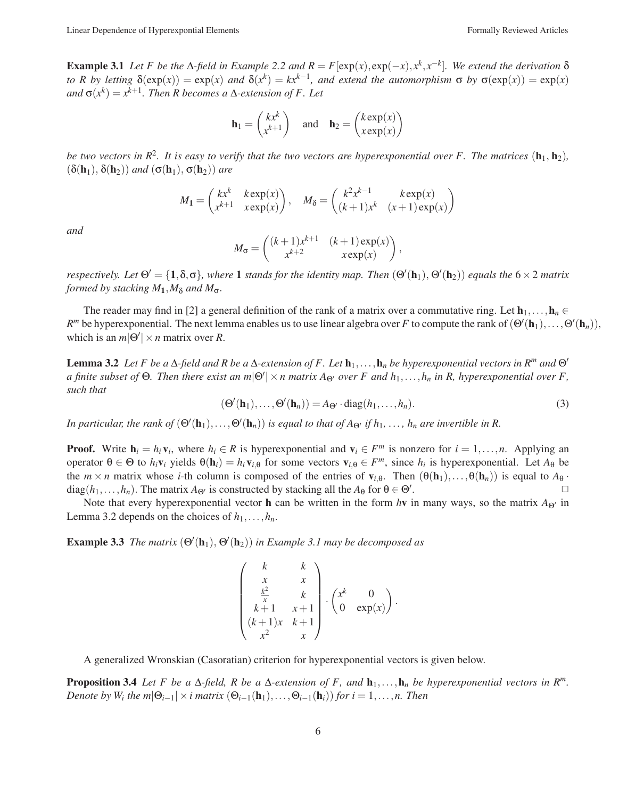Example 3.1 *Let F be the* Δ*-field in Example 2.2 and*  $R = F[exp(x), exp(-x), x<sup>k</sup>, x<sup>-k</sup>]$ *. We extend the derivation* δ *to R by letting*  $\delta(\exp(x)) = \exp(x)$  *and*  $\delta(x^k) = kx^{k-1}$ *, and extend the automorphism*  $\sigma$  *by*  $\sigma(\exp(x)) = \exp(x)$  $\alpha$ *and*  $\sigma(x^k) = x^{k+1}$ *. Then R becomes a*  $\Delta$ *-extension of F. Let* 

$$
\mathbf{h}_1 = \begin{pmatrix} kx^k \\ x^{k+1} \end{pmatrix} \quad \text{and} \quad \mathbf{h}_2 = \begin{pmatrix} k \exp(x) \\ x \exp(x) \end{pmatrix}
$$

*be two vectors in*  $R^2$ *. It is easy to verify that the two vectors are hyperexponential over F. The matrices*  $(h_1, h_2)$ ,  $(\delta(\mathbf{h}_1), \delta(\mathbf{h}_2))$  *and*  $(\sigma(\mathbf{h}_1), \sigma(\mathbf{h}_2))$  *are* 

$$
M_1 = \begin{pmatrix} kx^k & k \exp(x) \\ x^{k+1} & x \exp(x) \end{pmatrix}, \quad M_\delta = \begin{pmatrix} k^2x^{k-1} & k \exp(x) \\ (k+1)x^k & (x+1) \exp(x) \end{pmatrix}
$$

*and*

$$
M_{\sigma} = \begin{pmatrix} (k+1)x^{k+1} & (k+1)\exp(x) \\ x^{k+2} & x\exp(x) \end{pmatrix},
$$

*respectively.* Let  $\Theta' = \{1, \delta, \sigma\}$ , where **1** stands for the identity map. Then  $(\Theta'(\mathbf{h}_1), \Theta'(\mathbf{h}_2))$  equals the  $6 \times 2$  matrix *formed by stacking*  $M_1$ *,* $M_\delta$  *and*  $M_\sigma$ *.* 

The reader may find in [2] a general definition of the rank of a matrix over a commutative ring. Let  $\mathbf{h}_1,\ldots,\mathbf{h}_n \in$ *R*<sup>*m*</sup> be hyperexponential. The next lemma enables us to use linear algebra over *F* to compute the rank of  $(\Theta'(\mathbf{h}_1), \dots, \Theta'(\mathbf{h}_n))$ , which is an  $m|\Theta'| \times n$  matrix over *R*.

**Lemma 3.2** *Let F be a*  $\Delta$ -field and R be a  $\Delta$ -extension of F. Let  $\mathbf{h}_1, \ldots, \mathbf{h}_n$  be hyperexponential vectors in  $\mathbb{R}^m$  and  $\Theta'$ *a finite subset of* Θ*. Then there exist an m*|Θ | ×*n matrix A*Θ *over F and h*1,...,*hn in R, hyperexponential over F, such that*

$$
(\Theta'(\mathbf{h}_1), \dots, \Theta'(\mathbf{h}_n)) = A_{\Theta'} \cdot \text{diag}(h_1, \dots, h_n). \tag{3}
$$

*In particular, the rank of*  $(\Theta'(\bf{h}_1),...,\Theta'(\bf{h}_n))$  *is equal to that of A* $_{\Theta'}$  *if h*<sub>1</sub>, ..., *h<sub>n</sub> are invertible in R*.

**Proof.** Write  $h_i = h_i v_i$ , where  $h_i \in R$  is hyperexponential and  $v_i \in F^m$  is nonzero for  $i = 1, ..., n$ . Applying an operator  $\theta \in \Theta$  to  $h_i \mathbf{v}_i$  yields  $\theta(\mathbf{h}_i) = h_i \mathbf{v}_{i,\theta}$  for some vectors  $\mathbf{v}_{i,\theta} \in F^m$ , since  $h_i$  is hyperexponential. Let  $A_\theta$  be the  $m \times n$  matrix whose *i*-th column is composed of the entries of  $\mathbf{v}_{i,\theta}$ . Then  $(\theta(\mathbf{h}_1),...,\theta(\mathbf{h}_n))$  is equal to  $A_\theta$ ·<br>diag( $h_1$ ,  $h_n$ ) The matrix  $A_{\Theta}$  is constructed by stacking all the  $A_\theta$  for  $\theta \in \Theta'$ diag( $h_1, \ldots, h_n$ ). The matrix  $A_{\Theta'}$  is constructed by stacking all the  $A_{\Theta}$  for  $\Theta \in \Theta'$ . . The contract of  $\Box$ 

Note that every hyperexponential vector **h** can be written in the form *h*v in many ways, so the matrix  $A_{\Theta}$  in Lemma 3.2 depends on the choices of  $h_1, \ldots, h_n$ .

**Example 3.3** *The matrix*  $(\Theta'(\mathbf{h}_1), \Theta'(\mathbf{h}_2))$  *in Example 3.1 may be decomposed as* 

$$
\begin{pmatrix} k & k \\ x & x \\ \frac{k^2}{x} & k \\ k+1 & x+1 \\ (k+1)x & k+1 \\ x^2 & x \end{pmatrix} \cdot \begin{pmatrix} x^k & 0 \\ 0 & \exp(x) \end{pmatrix}.
$$

A generalized Wronskian (Casoratian) criterion for hyperexponential vectors is given below.

**Proposition 3.4** *Let F be a*  $\Delta$ -*field, R be a*  $\Delta$ -*extension of F, and*  $\mathbf{h}_1, \ldots, \mathbf{h}_n$  *be hyperexponential vectors in*  $\mathbb{R}^m$ . *Denote by W<sub>i</sub> the m* $|\Theta_{i-1}| \times i$  *matrix*  $(\Theta_{i-1}(\mathbf{h}_1),...,\Theta_{i-1}(\mathbf{h}_i))$  *for*  $i = 1,...,n$ . Then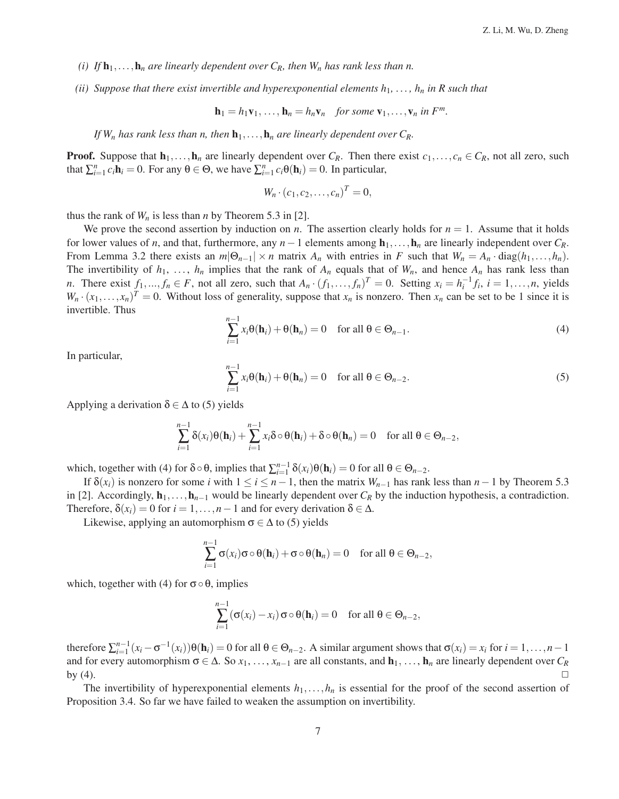- *(i)* If  $\mathbf{h}_1, \ldots, \mathbf{h}_n$  are linearly dependent over  $C_R$ , then  $W_n$  has rank less than n.
- *(ii) Suppose that there exist invertible and hyperexponential elements*  $h_1, \ldots, h_n$  *in R such that*

$$
\mathbf{h}_1 = h_1 \mathbf{v}_1, \ldots, \mathbf{h}_n = h_n \mathbf{v}_n \quad \text{for some } \mathbf{v}_1, \ldots, \mathbf{v}_n \text{ in } F^m.
$$

*If*  $W_n$  *has rank less than n, then*  $h_1, \ldots, h_n$  *are linearly dependent over*  $C_R$ .

**Proof.** Suppose that  $\mathbf{h}_1, \ldots, \mathbf{h}_n$  are linearly dependent over  $C_R$ . Then there exist  $c_1, \ldots, c_n \in C_R$ , not all zero, such that  $\sum_{i=1}^{n} c_i \mathbf{h}_i = 0$ . For any  $\theta \in \Theta$ , we have  $\sum_{i=1}^{n} c_i \theta(\mathbf{h}_i) = 0$ . In particular,

$$
W_n \cdot (c_1, c_2, \ldots, c_n)^T = 0,
$$

thus the rank of  $W_n$  is less than *n* by Theorem 5.3 in [2].

We prove the second assertion by induction on  $n$ . The assertion clearly holds for  $n = 1$ . Assume that it holds for lower values of *n*, and that, furthermore, any  $n-1$  elements among  $\mathbf{h}_1,\ldots,\mathbf{h}_n$  are linearly independent over  $C_R$ . From Lemma 3.2 there exists an  $m|\Theta_{n-1}| \times n$  matrix  $A_n$  with entries in *F* such that  $W_n = A_n \cdot \text{diag}(h_1, \ldots, h_n)$ . The invertibility of  $h_1, \ldots, h_n$  implies that the rank of  $A_n$  equals that of  $W_n$ , and hence  $A_n$  has rank less than *n*. There exist  $f_1, ..., f_n \in F$ , not all zero, such that  $A_n \cdot (f_1, ..., f_n)^T = 0$ . Setting  $x_i = h_i^{-1} f_i$ ,  $i = 1, ..., n$ , yields  $W_n \cdot (x_1, \ldots, x_n)^T = 0$ . Without loss of generality, suppose that  $x_n$  is nonzero. Then  $x_n$  can be set to be 1 since it is invertible. Thus

$$
\sum_{i=1}^{n-1} x_i \theta(\mathbf{h}_i) + \theta(\mathbf{h}_n) = 0 \quad \text{for all } \theta \in \Theta_{n-1}.
$$
 (4)

In particular,

$$
\sum_{i=1}^{n-1} x_i \theta(\mathbf{h}_i) + \theta(\mathbf{h}_n) = 0 \quad \text{for all } \theta \in \Theta_{n-2}.
$$
 (5)

Applying a derivation  $\delta \in \Delta$  to (5) yields

$$
\sum_{i=1}^{n-1} \delta(x_i) \theta(\mathbf{h}_i) + \sum_{i=1}^{n-1} x_i \delta \circ \theta(\mathbf{h}_i) + \delta \circ \theta(\mathbf{h}_n) = 0 \quad \text{for all } \theta \in \Theta_{n-2},
$$

which, together with (4) for  $\delta \circ \theta$ , implies that  $\sum_{i=1}^{n-1} \delta(x_i)\theta(\mathbf{h}_i) = 0$  for all  $\theta \in \Theta_{n-2}$ .

If  $\delta(x_i)$  is nonzero for some *i* with  $1 \le i \le n-1$ , then the matrix  $W_{n-1}$  has rank less than  $n-1$  by Theorem 5.3 in [2]. Accordingly,  $\mathbf{h}_1, \ldots, \mathbf{h}_{n-1}$  would be linearly dependent over  $C_R$  by the induction hypothesis, a contradiction. Therefore,  $\delta(x_i) = 0$  for  $i = 1, \ldots, n-1$  and for every derivation  $\delta \in \Delta$ .

Likewise, applying an automorphism  $\sigma \in \Delta$  to (5) yields

$$
\sum_{i=1}^{n-1} \sigma(x_i) \sigma \circ \theta(\mathbf{h}_i) + \sigma \circ \theta(\mathbf{h}_n) = 0 \quad \text{for all } \theta \in \Theta_{n-2},
$$

which, together with (4) for  $\sigma \circ \theta$ , implies

$$
\sum_{i=1}^{n-1} (\sigma(x_i) - x_i) \sigma \circ \theta(\mathbf{h}_i) = 0 \quad \text{for all } \theta \in \Theta_{n-2},
$$

therefore  $\sum_{i=1}^{n-1} (x_i - \sigma^{-1}(x_i))\Theta(\mathbf{h}_i) = 0$  for all  $\theta \in \Theta_{n-2}$ . A similar argument shows that  $\sigma(x_i) = x_i$  for  $i = 1, \ldots, n-1$ and for every automorphism  $\sigma \in \Delta$ . So  $x_1, \ldots, x_{n-1}$  are all constants, and  $\mathbf{h}_1, \ldots, \mathbf{h}_n$  are linearly dependent over  $C_R$  by (4). by (4).  $\Box$ 

The invertibility of hyperexponential elements  $h_1, \ldots, h_n$  is essential for the proof of the second assertion of Proposition 3.4. So far we have failed to weaken the assumption on invertibility.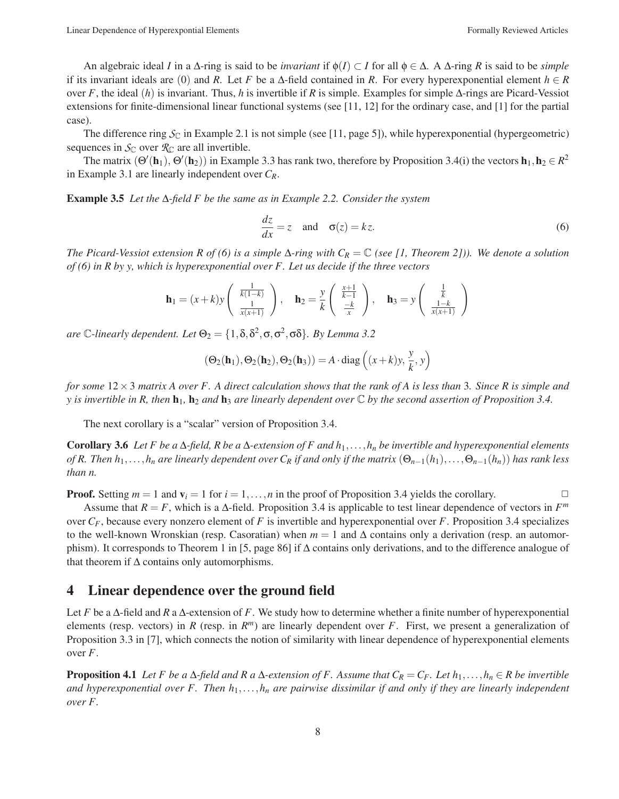Linear Dependence of Hyperexpontial Elements Formally Reviewed Articles

An algebraic ideal *I* in a  $\Delta$ -ring is said to be *invariant* if  $\phi(I) \subset I$  for all  $\phi \in \Delta$ . A  $\Delta$ -ring *R* is said to be *simple* if its invariant ideals are (0) and *R*. Let *F* be a  $\Delta$ -field contained in *R*. For every hyperexponential element  $h \in R$ over *F*, the ideal (*h*) is invariant. Thus, *h* is invertible if *R* is simple. Examples for simple ∆-rings are Picard-Vessiot extensions for finite-dimensional linear functional systems (see [11, 12] for the ordinary case, and [1] for the partial case).

The difference ring  $S_{\mathbb{C}}$  in Example 2.1 is not simple (see [11, page 5]), while hyperexponential (hypergeometric) sequences in  $\mathcal{S}_{\mathbb{C}}$  over  $\mathcal{R}_{\mathbb{C}}$  are all invertible.

The matrix  $(\Theta'(\mathbf{h}_1), \Theta'(\mathbf{h}_2))$  in Example 3.3 has rank two, therefore by Proposition 3.4(i) the vectors  $\mathbf{h}_1, \mathbf{h}_2 \in R^2$ in Example 3.1 are linearly independent over *CR*.

Example 3.5 *Let the* ∆*-field F be the same as in Example 2.2. Consider the system*

$$
\frac{dz}{dx} = z \quad \text{and} \quad \sigma(z) = kz. \tag{6}
$$

*The Picard-Vessiot extension R of (6) is a simple*  $\Delta$ -*ring with*  $C_R = \mathbb{C}$  *(see [1, Theorem 2])). We denote a solution of (6) in R by y, which is hyperexponential over F. Let us decide if the three vectors*

$$
\mathbf{h}_1 = (x+k)y \begin{pmatrix} \frac{1}{k(1-k)} \\ \frac{1}{x(x+1)} \end{pmatrix}, \quad \mathbf{h}_2 = \frac{y}{k} \begin{pmatrix} \frac{x+1}{k-1} \\ \frac{-k}{x} \end{pmatrix}, \quad \mathbf{h}_3 = y \begin{pmatrix} \frac{1}{k} \\ \frac{1-k}{x(x+1)} \end{pmatrix}
$$

*are* C-linearly dependent. Let  $\Theta_2 = \{1, \delta, \delta^2, \sigma, \sigma^2, \sigma \delta\}$ . By Lemma 3.2

$$
(\Theta_2(\mathbf{h}_1), \Theta_2(\mathbf{h}_2), \Theta_2(\mathbf{h}_3)) = A \cdot \text{diag}\left((x+k)y, \frac{y}{k}, y\right)
$$

*for some* 12×3 *matrix A over F. A direct calculation shows that the rank of A is less than* 3*. Since R is simple and y* is invertible in R, then  $\mathbf{h}_1$ ,  $\mathbf{h}_2$  *and*  $\mathbf{h}_3$  *are linearly dependent over*  $\mathbb C$  *by the second assertion of Proposition 3.4.* 

The next corollary is a "scalar" version of Proposition 3.4.

Corollary 3.6 *Let F be a* ∆*-field, R be a* ∆*-extension of F and h*1,...,*hn be invertible and hyperexponential elements of R. Then*  $h_1, \ldots, h_n$  *are linearly dependent over*  $C_R$  *if and only if the matrix*  $(\Theta_{n-1}(h_1), \ldots, \Theta_{n-1}(h_n))$  *has rank less than n.*

**Proof.** Setting  $m = 1$  and  $v_i = 1$  for  $i = 1, ..., n$  in the proof of Proposition 3.4 yields the corollary.

Assume that  $R = F$ , which is a  $\Delta$ -field. Proposition 3.4 is applicable to test linear dependence of vectors in  $F^m$ over *CF*, because every nonzero element of *F* is invertible and hyperexponential over *F*. Proposition 3.4 specializes to the well-known Wronskian (resp. Casoratian) when  $m = 1$  and  $\Delta$  contains only a derivation (resp. an automorphism). It corresponds to Theorem 1 in [5, page 86] if ∆ contains only derivations, and to the difference analogue of that theorem if  $\Delta$  contains only automorphisms.

### 4 Linear dependence over the ground field

Let *F* be a ∆-field and *R* a ∆-extension of *F*. We study how to determine whether a finite number of hyperexponential elements (resp. vectors) in *R* (resp. in  $R<sup>m</sup>$ ) are linearly dependent over *F*. First, we present a generalization of Proposition 3.3 in [7], which connects the notion of similarity with linear dependence of hyperexponential elements over *F*.

**Proposition 4.1** *Let F be a*  $\Delta$ *-field and R a*  $\Delta$ *-extension of F. Assume that*  $C_R = C_F$ *. Let*  $h_1, \ldots, h_n \in R$  *be invertible and hyperexponential over F. Then h*1,...,*hn are pairwise dissimilar if and only if they are linearly independent over F.*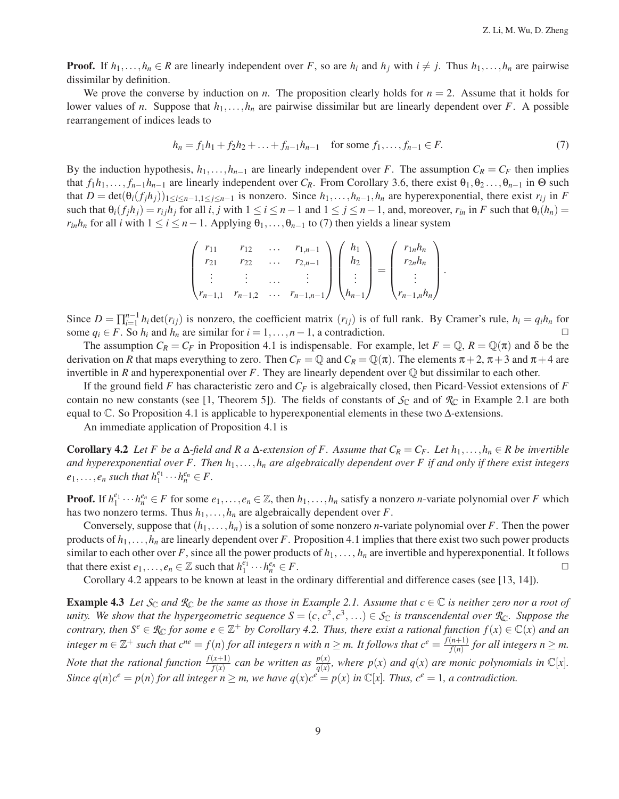**Proof.** If  $h_1, \ldots, h_n \in R$  are linearly independent over *F*, so are  $h_i$  and  $h_j$  with  $i \neq j$ . Thus  $h_1, \ldots, h_n$  are pairwise dissimilar by definition.

We prove the converse by induction on *n*. The proposition clearly holds for  $n = 2$ . Assume that it holds for lower values of *n*. Suppose that *h*1,...,*hn* are pairwise dissimilar but are linearly dependent over *F*. A possible rearrangement of indices leads to

$$
h_n = f_1 h_1 + f_2 h_2 + \dots + f_{n-1} h_{n-1} \quad \text{for some } f_1, \dots, f_{n-1} \in F. \tag{7}
$$

By the induction hypothesis,  $h_1, \ldots, h_{n-1}$  are linearly independent over *F*. The assumption  $C_R = C_F$  then implies that  $f_1h_1,\ldots,f_{n-1}h_{n-1}$  are linearly independent over  $C_R$ . From Corollary 3.6, there exist  $\theta_1,\theta_2,\ldots,\theta_{n-1}$  in  $\Theta$  such that  $D = \det(\theta_i(f_j h_j))_{1 \leq i \leq n-1, 1 \leq j \leq n-1}$  is nonzero. Since  $h_1, \ldots, h_{n-1}, h_n$  are hyperexponential, there exist  $r_{ij}$  in *F* such that  $\theta_i(f_jh_j) = r_{ij}h_j$  for all *i*, *j* with  $1 \le i \le n-1$  and  $1 \le j \le n-1$ , and, moreover,  $r_{in}$  in *F* such that  $\theta_i(h_n) =$ *r<sub>in</sub>h<sub>n</sub>* for all *i* with  $1 \le i \le n-1$ . Applying  $\theta_1, \ldots, \theta_{n-1}$  to (7) then yields a linear system

$$
\begin{pmatrix} r_{11} & r_{12} & \dots & r_{1,n-1} \\ r_{21} & r_{22} & \dots & r_{2,n-1} \\ \vdots & \vdots & \dots & \vdots \\ r_{n-1,1} & r_{n-1,2} & \dots & r_{n-1,n-1} \end{pmatrix} \begin{pmatrix} h_1 \\ h_2 \\ \vdots \\ h_{n-1} \end{pmatrix} = \begin{pmatrix} r_{1n}h_n \\ r_{2n}h_n \\ \vdots \\ r_{n-1,n}h_n \end{pmatrix}.
$$

Since  $D = \prod_{i=1}^{n-1} h_i \det(r_{ij})$  is nonzero, the coefficient matrix  $(r_{ij})$  is of full rank. By Cramer's rule,  $h_i = q_i h_n$  for some  $q_i \in F$ . So  $h_i$  and  $h_n$  are similar for  $i = 1, \ldots, n - 1$ , a contradiction. 
<del></del> □

The assumption  $C_R = C_F$  in Proposition 4.1 is indispensable. For example, let  $F = \mathbb{Q}, R = \mathbb{Q}(\pi)$  and  $\delta$  be the derivation on *R* that maps everything to zero. Then  $C_F = \mathbb{Q}$  and  $C_R = \mathbb{Q}(\pi)$ . The elements  $\pi + 2$ ,  $\pi + 3$  and  $\pi + 4$  are invertible in *R* and hyperexponential over *F*. They are linearly dependent over  $\mathbb Q$  but dissimilar to each other.

If the ground field  $F$  has characteristic zero and  $C_F$  is algebraically closed, then Picard-Vessiot extensions of  $F$ contain no new constants (see [1, Theorem 5]). The fields of constants of  $S_{\mathbb{C}}$  and of  $\mathcal{R}_{\mathbb{C}}$  in Example 2.1 are both equal to  $\mathbb C$ . So Proposition 4.1 is applicable to hyperexponential elements in these two  $\Delta$ -extensions.

An immediate application of Proposition 4.1 is

Corollary 4.2 *Let F be a*  $\Delta$ -field and R a  $\Delta$ -extension of F. Assume that  $C_R = C_F$ . Let  $h_1, \ldots, h_n \in R$  be invertible *and hyperexponential over F. Then h*1,...,*hn are algebraically dependent over F if and only if there exist integers*  $e_1, \ldots, e_n$  *such that*  $h_1^{e_1} \cdots h_n^{e_n} \in F$ .

**Proof.** If  $h_1^{e_1} \cdots h_n^{e_n} \in F$  for some  $e_1, \ldots, e_n \in \mathbb{Z}$ , then  $h_1, \ldots, h_n$  satisfy a nonzero *n*-variate polynomial over *F* which has two nonzero terms. Thus  $h_1, \ldots, h_n$  are algebraically dependent over *F*.

Conversely, suppose that  $(h_1, \ldots, h_n)$  is a solution of some nonzero *n*-variate polynomial over *F*. Then the power products of  $h_1, \ldots, h_n$  are linearly dependent over *F*. Proposition 4.1 implies that there exist two such power products similar to each other over  $F$ , since all the power products of  $h_1, \ldots, h_n$  are invertible and hyperexponential. It follows that there exist  $e_1, \ldots, e_n \in \mathbb{Z}$  such that  $h_1^{\tilde{e_1}} \cdots h_n^{\tilde{e_n}}$  $\frac{e_n}{n} \in F.$ 

Corollary 4.2 appears to be known at least in the ordinary differential and difference cases (see [13, 14]).

**Example 4.3** Let  $S_{\mathbb{C}}$  and  $\mathcal{R}_{\mathbb{C}}$  be the same as those in Example 2.1. Assume that  $c \in \mathbb{C}$  is neither zero nor a root of *unity. We show that the hypergeometric sequence*  $S = (c, c^2, c^3, \ldots) \in S_{\mathbb{C}}$  *is transcendental over*  $\mathcal{R}_{\mathbb{C}}$ *. Suppose the contrary, then*  $S^e \in \mathcal{R}_\mathbb{C}$  *for some*  $e \in \mathbb{Z}^+$  *by Corollary 4.2. Thus, there exist a rational function*  $f(x) \in \mathbb{C}(x)$  *and an*  $\alpha$  *integer*  $m \in \mathbb{Z}^+$  such that  $c^{ne} = f(n)$  for all integers n with  $n \ge m$ . It follows that  $c^e = \frac{f(n+1)}{f(n)}$  for all integers  $n \ge m$ . Note that the rational function  $\frac{f(x+1)}{f(x)}$  can be written as  $\frac{p(x)}{q(x)}$ , where  $p(x)$  and  $q(x)$  are monic polynomials in  $\mathbb{C}[x]$ . *Since*  $q(n)c^e = p(n)$  *for all integer*  $n \ge m$ *, we have*  $q(x)c^e = p(x)$  *in*  $\mathbb{C}[x]$ *. Thus,*  $c^e = 1$ *, a contradiction.*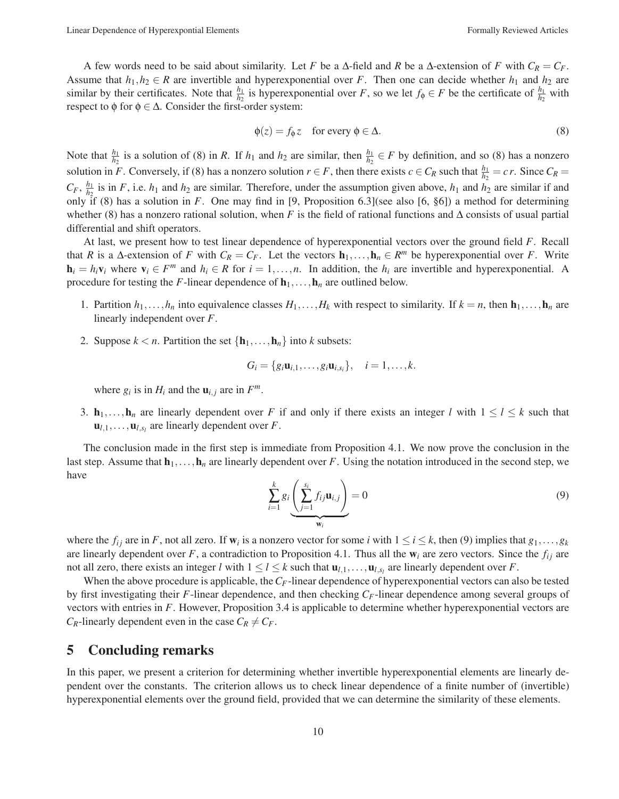A few words need to be said about similarity. Let *F* be a  $\Delta$ -field and *R* be a  $\Delta$ -extension of *F* with  $C_R = C_F$ . Assume that  $h_1, h_2 \in R$  are invertible and hyperexponential over *F*. Then one can decide whether  $h_1$  and  $h_2$  are similar by their certificates. Note that  $\frac{h_1}{h_2}$  is hyperexponential over *F*, so we let  $f_{\phi} \in F$  be the certificate of  $\frac{h_1}{h_2}$  with respect to  $\phi$  for  $\phi \in \Delta$ . Consider the first-order system:

$$
\phi(z) = f_{\phi} z \quad \text{for every } \phi \in \Delta. \tag{8}
$$

Note that  $\frac{h_1}{h_2}$  is a solution of (8) in *R*. If  $h_1$  and  $h_2$  are similar, then  $\frac{h_1}{h_2} \in F$  by definition, and so (8) has a nonzero solution in *F*. Conversely, if (8) has a nonzero solution  $r \in F$ , then there exists  $c \in C_R$  such that  $\frac{h_1}{h_2} = c r$ . Since  $C_R =$  $C_F$ ,  $\frac{h_1}{h_2}$  is in *F*, i.e.  $h_1$  and  $h_2$  are similar. Therefore, under the assumption given above,  $h_1$  and  $h_2$  are similar if and only if (8) has a solution in *F*. One may find in [9, Proposition 6.3](see also [6, §6]) a method for determining whether (8) has a nonzero rational solution, when *F* is the field of rational functions and ∆ consists of usual partial differential and shift operators.

At last, we present how to test linear dependence of hyperexponential vectors over the ground field *F*. Recall that *R* is a ∆-extension of *F* with  $C_R = C_F$ . Let the vectors  $\mathbf{h}_1, \ldots, \mathbf{h}_n \in R^m$  be hyperexponential over *F*. Write  $h_i = h_i v_i$  where  $v_i \in F^m$  and  $h_i \in R$  for  $i = 1, \ldots, n$ . In addition, the  $h_i$  are invertible and hyperexponential. A procedure for testing the *F*-linear dependence of  $\mathbf{h}_1,\ldots,\mathbf{h}_n$  are outlined below.

- 1. Partition  $h_1, \ldots, h_n$  into equivalence classes  $H_1, \ldots, H_k$  with respect to similarity. If  $k = n$ , then  $\mathbf{h}_1, \ldots, \mathbf{h}_n$  are linearly independent over *F*.
- 2. Suppose  $k < n$ . Partition the set  $\{h_1, \ldots, h_n\}$  into *k* subsets:

$$
G_i = \{g_i\mathbf{u}_{i,1},\ldots,g_i\mathbf{u}_{i,s_i}\}, \quad i=1,\ldots,k.
$$

where  $g_i$  is in  $H_i$  and the  $\mathbf{u}_{i,j}$  are in  $F^m$ .

3.  $h_1, \ldots, h_n$  are linearly dependent over *F* if and only if there exists an integer *l* with  $1 \leq l \leq k$  such that  $\mathbf{u}_{l,1},\ldots,\mathbf{u}_{l,s_l}$  are linearly dependent over *F*.

The conclusion made in the first step is immediate from Proposition 4.1. We now prove the conclusion in the last step. Assume that  $h_1, \ldots, h_n$  are linearly dependent over *F*. Using the notation introduced in the second step, we have

$$
\sum_{i=1}^{k} g_i \underbrace{\left(\sum_{j=1}^{s_i} f_{ij} \mathbf{u}_{i,j}\right)}_{\mathbf{w}_i} = 0 \tag{9}
$$

where the  $f_{ij}$  are in *F*, not all zero. If  $w_i$  is a nonzero vector for some *i* with  $1 \le i \le k$ , then (9) implies that  $g_1, \ldots, g_k$ are linearly dependent over *F*, a contradiction to Proposition 4.1. Thus all the  $w_i$  are zero vectors. Since the  $f_{ij}$  are not all zero, there exists an integer *l* with  $1 \le l \le k$  such that  $\mathbf{u}_{l,1},...,\mathbf{u}_{l,s_l}$  are linearly dependent over *F*.

When the above procedure is applicable, the  $C_F$ -linear dependence of hyperexponential vectors can also be tested by first investigating their *F*-linear dependence, and then checking *CF*-linear dependence among several groups of vectors with entries in *F*. However, Proposition 3.4 is applicable to determine whether hyperexponential vectors are *C<sub>R</sub>*-linearly dependent even in the case  $C_R \neq C_F$ .

## 5 Concluding remarks

In this paper, we present a criterion for determining whether invertible hyperexponential elements are linearly dependent over the constants. The criterion allows us to check linear dependence of a finite number of (invertible) hyperexponential elements over the ground field, provided that we can determine the similarity of these elements.